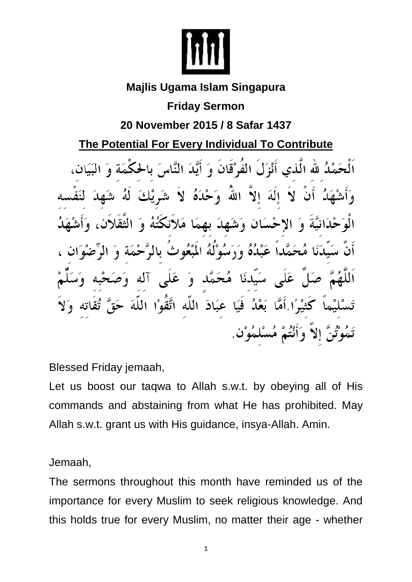

### **Majlis Ugama Islam Singapura**

#### **Friday Sermon**

# **20 November 2015 / 8 Safar 1437**

# **The Potential For Every Individual To Contribute**

اَلْحَمْلُہ للّٰہ الّٰذی أَنْزَلَ الفُوْقَانَ وَ أَيَّدَ النَّاسَ بِالحُكْمَةِ وَ الَهَ إِلاَّ اللَّهُ وَحْلَاهُ لاَ شَہْ يْكَ ىھمَا مَلائكَتُهُ وَ ان وَشَّصْدَ عَبْدُهُ وَرَسُوْلُهُ الْمَبْعُوثُ بِالرَّ سَيٰلاَنَا هُجَهَّك وَ عَلَى آلِهِ عَلي بَعْدُ فَيَا كَثْدٌ ٗا أَمَّا عِبَادَ اللَّه اتَّقَوْا اللَّهَ إِلاَّ وَأَنْتُمْ مُسْلَمُوْنَ.

Blessed Friday jemaah,

Let us boost our taqwa to Allah s.w.t. by obeying all of His commands and abstaining from what He has prohibited. May Allah s.w.t. grant us with His guidance, insya-Allah. Amin.

Jemaah,

The sermons throughout this month have reminded us of the importance for every Muslim to seek religious knowledge. And this holds true for every Muslim, no matter their age - whether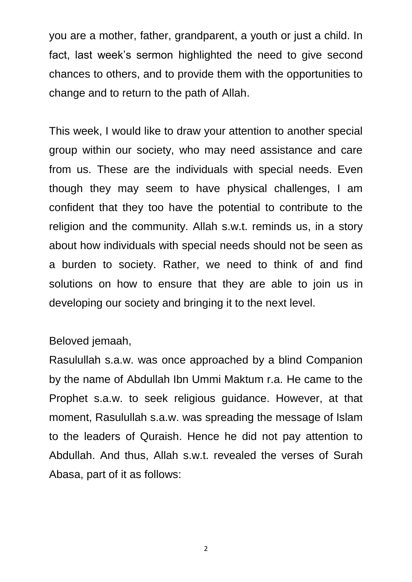you are a mother, father, grandparent, a youth or just a child. In fact, last week's sermon highlighted the need to give second chances to others, and to provide them with the opportunities to change and to return to the path of Allah.

This week, I would like to draw your attention to another special group within our society, who may need assistance and care from us. These are the individuals with special needs. Even though they may seem to have physical challenges, I am confident that they too have the potential to contribute to the religion and the community. Allah s.w.t. reminds us, in a story about how individuals with special needs should not be seen as a burden to society. Rather, we need to think of and find solutions on how to ensure that they are able to join us in developing our society and bringing it to the next level.

#### Beloved jemaah,

Rasulullah s.a.w. was once approached by a blind Companion by the name of Abdullah Ibn Ummi Maktum r.a. He came to the Prophet s.a.w. to seek religious guidance. However, at that moment, Rasulullah s.a.w. was spreading the message of Islam to the leaders of Quraish. Hence he did not pay attention to Abdullah. And thus, Allah s.w.t. revealed the verses of Surah Abasa, part of it as follows:

2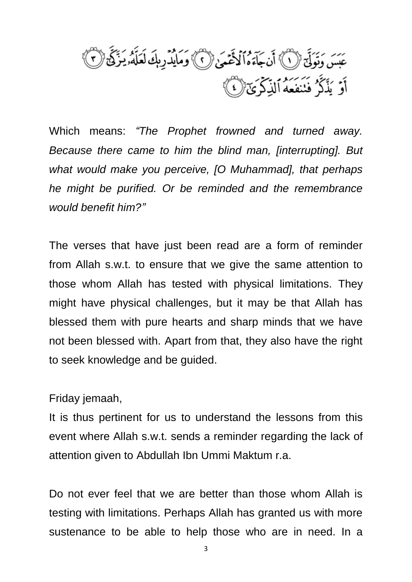عَبَسَ وَتَوَلَّىٓ ۚ إِنَّ ۚ أَن جَآءَهُ ٱلْأَعْمَىٰ ۚ لَ ٱلصَّلَادِ بِكَ لَعَلَّهُۥ يَزَكَّى ۚ لَٰ أَ جس رون<br>أَوۡ يَذۡكُرُ فَنَنفَعَهُ ٱلذِّكۡوَىٰٓ ۞

Which means: *"The Prophet frowned and turned away. Because there came to him the blind man, [interrupting]. But what would make you perceive, [O Muhammad], that perhaps he might be purified. Or be reminded and the remembrance would benefit him?"*

The verses that have just been read are a form of reminder from Allah s.w.t. to ensure that we give the same attention to those whom Allah has tested with physical limitations. They might have physical challenges, but it may be that Allah has blessed them with pure hearts and sharp minds that we have not been blessed with. Apart from that, they also have the right to seek knowledge and be guided.

Friday jemaah,

It is thus pertinent for us to understand the lessons from this event where Allah s.w.t. sends a reminder regarding the lack of attention given to Abdullah Ibn Ummi Maktum r.a.

Do not ever feel that we are better than those whom Allah is testing with limitations. Perhaps Allah has granted us with more sustenance to be able to help those who are in need. In a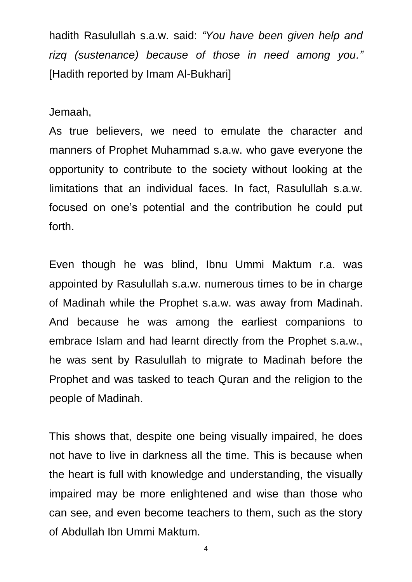hadith Rasulullah s.a.w. said: *"You have been given help and rizq (sustenance) because of those in need among you."*  [Hadith reported by Imam Al-Bukhari]

Jemaah,

As true believers, we need to emulate the character and manners of Prophet Muhammad s.a.w. who gave everyone the opportunity to contribute to the society without looking at the limitations that an individual faces. In fact, Rasulullah s.a.w. focused on one's potential and the contribution he could put forth.

Even though he was blind, Ibnu Ummi Maktum r.a. was appointed by Rasulullah s.a.w. numerous times to be in charge of Madinah while the Prophet s.a.w. was away from Madinah. And because he was among the earliest companions to embrace Islam and had learnt directly from the Prophet s.a.w., he was sent by Rasulullah to migrate to Madinah before the Prophet and was tasked to teach Quran and the religion to the people of Madinah.

This shows that, despite one being visually impaired, he does not have to live in darkness all the time. This is because when the heart is full with knowledge and understanding, the visually impaired may be more enlightened and wise than those who can see, and even become teachers to them, such as the story of Abdullah Ibn Ummi Maktum.

4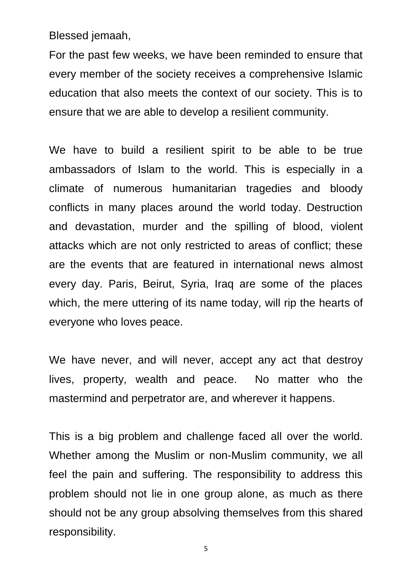Blessed jemaah,

For the past few weeks, we have been reminded to ensure that every member of the society receives a comprehensive Islamic education that also meets the context of our society. This is to ensure that we are able to develop a resilient community.

We have to build a resilient spirit to be able to be true ambassadors of Islam to the world. This is especially in a climate of numerous humanitarian tragedies and bloody conflicts in many places around the world today. Destruction and devastation, murder and the spilling of blood, violent attacks which are not only restricted to areas of conflict; these are the events that are featured in international news almost every day. Paris, Beirut, Syria, Iraq are some of the places which, the mere uttering of its name today, will rip the hearts of everyone who loves peace.

We have never, and will never, accept any act that destroy lives, property, wealth and peace. No matter who the mastermind and perpetrator are, and wherever it happens.

This is a big problem and challenge faced all over the world. Whether among the Muslim or non-Muslim community, we all feel the pain and suffering. The responsibility to address this problem should not lie in one group alone, as much as there should not be any group absolving themselves from this shared responsibility.

5